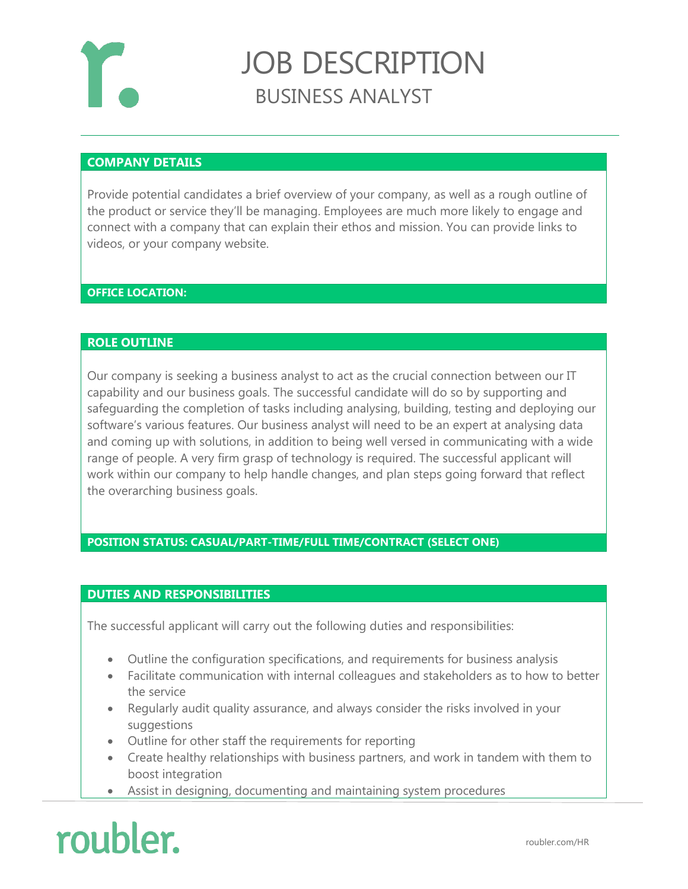

# JOB DESCRIPTION BUSINESS ANALYST

## **COMPANY DETAILS**

Provide potential candidates a brief overview of your company, as well as a rough outline of the product or service they'll be managing. Employees are much more likely to engage and connect with a company that can explain their ethos and mission. You can provide links to videos, or your company website.

### **OFFICE LOCATION:**

#### **ROLE OUTLINE**

Our company is seeking a business analyst to act as the crucial connection between our IT capability and our business goals. The successful candidate will do so by supporting and safeguarding the completion of tasks including analysing, building, testing and deploying our software's various features. Our business analyst will need to be an expert at analysing data and coming up with solutions, in addition to being well versed in communicating with a wide range of people. A very firm grasp of technology is required. The successful applicant will work within our company to help handle changes, and plan steps going forward that reflect the overarching business goals.

## **POSITION STATUS: CASUAL/PART-TIME/FULL TIME/CONTRACT (SELECT ONE)**

#### **DUTIES AND RESPONSIBILITIES**

The successful applicant will carry out the following duties and responsibilities:

- Outline the configuration specifications, and requirements for business analysis
- Facilitate communication with internal colleagues and stakeholders as to how to better the service
- Regularly audit quality assurance, and always consider the risks involved in your suggestions
- Outline for other staff the requirements for reporting
- Create healthy relationships with business partners, and work in tandem with them to boost integration
- Assist in designing, documenting and maintaining system procedures

# roubler.